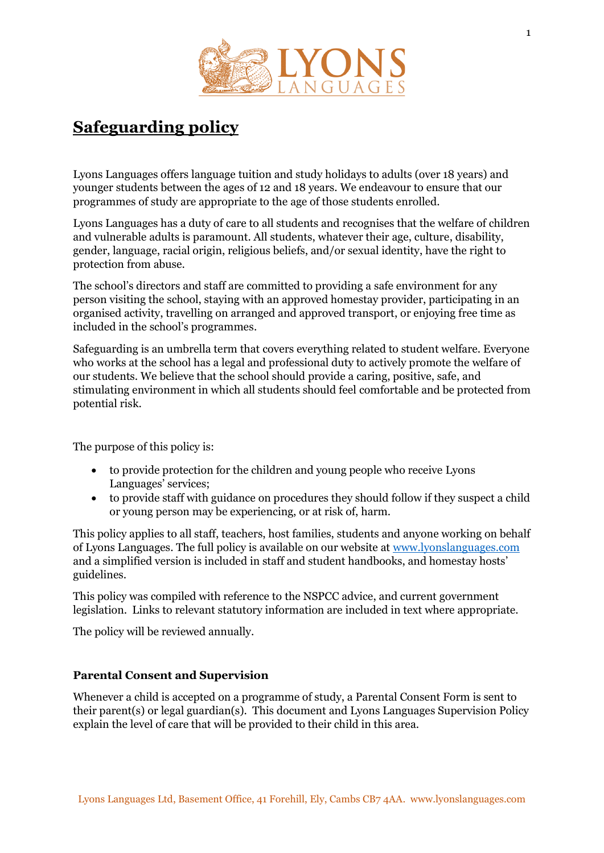

# **Safeguarding policy**

Lyons Languages offers language tuition and study holidays to adults (over 18 years) and younger students between the ages of 12 and 18 years. We endeavour to ensure that our programmes of study are appropriate to the age of those students enrolled.

Lyons Languages has a duty of care to all students and recognises that the welfare of children and vulnerable adults is paramount. All students, whatever their age, culture, disability, gender, language, racial origin, religious beliefs, and/or sexual identity, have the right to protection from abuse.

The school's directors and staff are committed to providing a safe environment for any person visiting the school, staying with an approved homestay provider, participating in an organised activity, travelling on arranged and approved transport, or enjoying free time as included in the school's programmes.

Safeguarding is an umbrella term that covers everything related to student welfare. Everyone who works at the school has a legal and professional duty to actively promote the welfare of our students. We believe that the school should provide a caring, positive, safe, and stimulating environment in which all students should feel comfortable and be protected from potential risk.

The purpose of this policy is:

- to provide protection for the children and young people who receive Lyons Languages' services;
- to provide staff with guidance on procedures they should follow if they suspect a child or young person may be experiencing, or at risk of, harm.

This policy applies to all staff, teachers, host families, students and anyone working on behalf of Lyons Languages. The full policy is available on our website at [www.lyonslanguages.com](http://www.lyonslanguages.com/) and a simplified version is included in staff and student handbooks, and homestay hosts' guidelines.

This policy was compiled with reference to the NSPCC advice, and current government legislation. Links to relevant statutory information are included in text where appropriate.

The policy will be reviewed annually.

# **Parental Consent and Supervision**

Whenever a child is accepted on a programme of study, a Parental Consent Form is sent to their parent(s) or legal guardian(s). This document and Lyons Languages Supervision Policy explain the level of care that will be provided to their child in this area.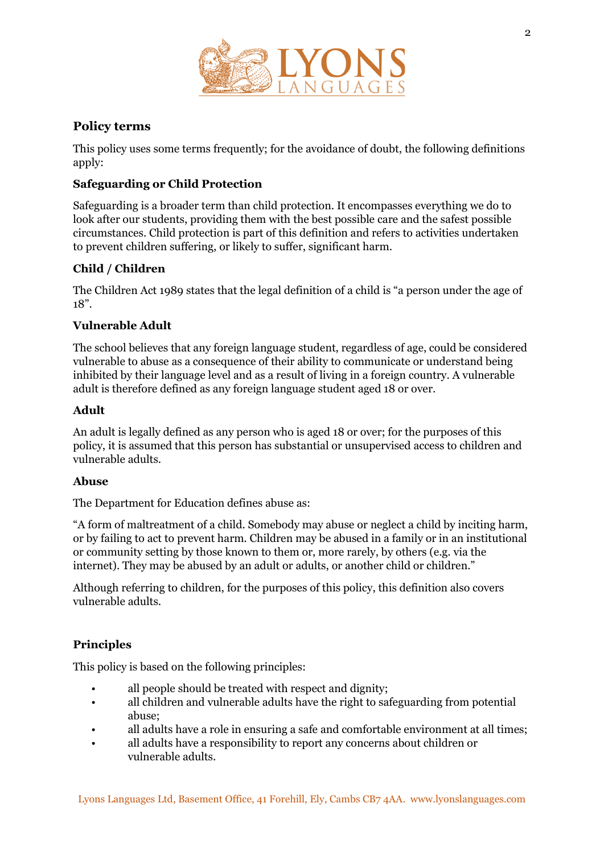

# **Policy terms**

This policy uses some terms frequently; for the avoidance of doubt, the following definitions apply:

## **Safeguarding or Child Protection**

Safeguarding is a broader term than child protection. It encompasses everything we do to look after our students, providing them with the best possible care and the safest possible circumstances. Child protection is part of this definition and refers to activities undertaken to prevent children suffering, or likely to suffer, significant harm.

# **Child / Children**

The Children Act 1989 states that the legal definition of a child is "a person under the age of 18".

#### **Vulnerable Adult**

The school believes that any foreign language student, regardless of age, could be considered vulnerable to abuse as a consequence of their ability to communicate or understand being inhibited by their language level and as a result of living in a foreign country. A vulnerable adult is therefore defined as any foreign language student aged 18 or over.

#### **Adult**

An adult is legally defined as any person who is aged 18 or over; for the purposes of this policy, it is assumed that this person has substantial or unsupervised access to children and vulnerable adults.

#### **Abuse**

The Department for Education defines abuse as:

"A form of maltreatment of a child. Somebody may abuse or neglect a child by inciting harm, or by failing to act to prevent harm. Children may be abused in a family or in an institutional or community setting by those known to them or, more rarely, by others (e.g. via the internet). They may be abused by an adult or adults, or another child or children."

Although referring to children, for the purposes of this policy, this definition also covers vulnerable adults.

# **Principles**

This policy is based on the following principles:

- all people should be treated with respect and dignity;
- all children and vulnerable adults have the right to safeguarding from potential abuse;
- all adults have a role in ensuring a safe and comfortable environment at all times;
- all adults have a responsibility to report any concerns about children or vulnerable adults.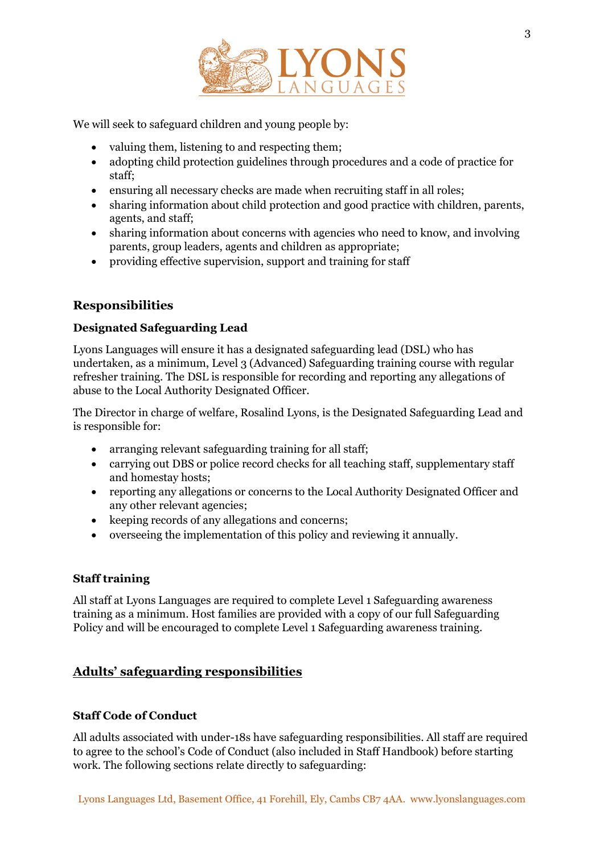

We will seek to safeguard children and young people by:

- valuing them, listening to and respecting them;
- adopting child protection guidelines through procedures and a code of practice for staff;
- ensuring all necessary checks are made when recruiting staff in all roles;
- sharing information about child protection and good practice with children, parents, agents, and staff;
- sharing information about concerns with agencies who need to know, and involving parents, group leaders, agents and children as appropriate;
- providing effective supervision, support and training for staff

# **Responsibilities**

# **Designated Safeguarding Lead**

Lyons Languages will ensure it has a designated safeguarding lead (DSL) who has undertaken, as a minimum, Level 3 (Advanced) Safeguarding training course with regular refresher training. The DSL is responsible for recording and reporting any allegations of abuse to the Local Authority Designated Officer.

The Director in charge of welfare, Rosalind Lyons, is the Designated Safeguarding Lead and is responsible for:

- arranging relevant safeguarding training for all staff;
- carrying out DBS or police record checks for all teaching staff, supplementary staff and homestay hosts;
- reporting any allegations or concerns to the Local Authority Designated Officer and any other relevant agencies;
- keeping records of any allegations and concerns;
- overseeing the implementation of this policy and reviewing it annually.

# **Staff training**

All staff at Lyons Languages are required to complete Level 1 Safeguarding awareness training as a minimum. Host families are provided with a copy of our full Safeguarding Policy and will be encouraged to complete Level 1 Safeguarding awareness training.

# **Adults' safeguarding responsibilities**

#### **Staff Code of Conduct**

All adults associated with under-18s have safeguarding responsibilities. All staff are required to agree to the school's Code of Conduct (also included in Staff Handbook) before starting work. The following sections relate directly to safeguarding: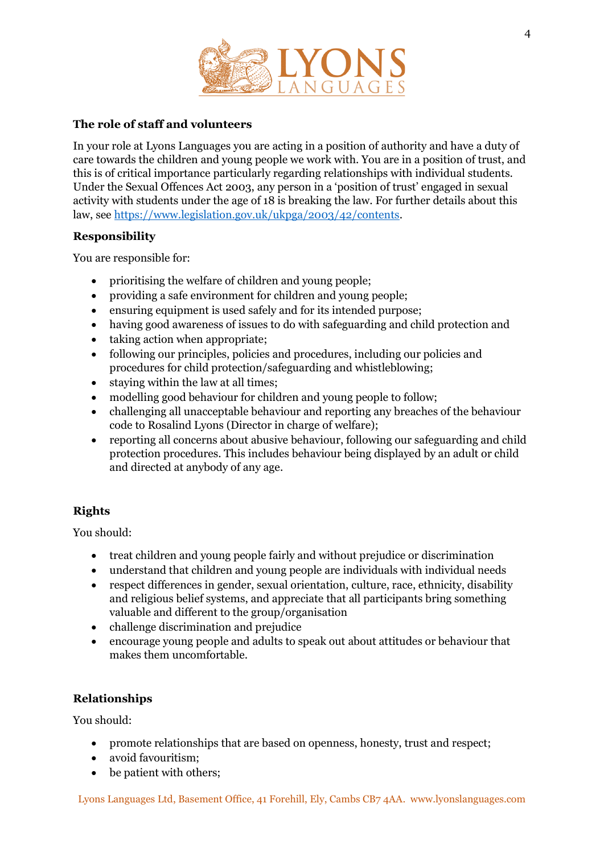

## **The role of staff and volunteers**

In your role at Lyons Languages you are acting in a position of authority and have a duty of care towards the children and young people we work with. You are in a position of trust, and this is of critical importance particularly regarding relationships with individual students. Under the Sexual Offences Act 2003, any person in a 'position of trust' engaged in sexual activity with students under the age of 18 is breaking the law. For further details about this law, see [https://www.legislation.gov.uk/ukpga/2003/42/contents.](https://www.legislation.gov.uk/ukpga/2003/42/contents)

#### **Responsibility**

You are responsible for:

- prioritising the welfare of children and young people;
- providing a safe environment for children and young people;
- ensuring equipment is used safely and for its intended purpose;
- having good awareness of issues to do with safeguarding and child protection and
- taking action when appropriate;
- following our principles, policies and procedures, including our policies and procedures for child protection/safeguarding and whistleblowing;
- staying within the law at all times;
- modelling good behaviour for children and young people to follow;
- challenging all unacceptable behaviour and reporting any breaches of the behaviour code to Rosalind Lyons (Director in charge of welfare);
- reporting all concerns about abusive behaviour, following our safeguarding and child protection procedures. This includes behaviour being displayed by an adult or child and directed at anybody of any age.

# **Rights**

You should:

- treat children and young people fairly and without prejudice or discrimination
- understand that children and young people are individuals with individual needs
- respect differences in gender, sexual orientation, culture, race, ethnicity, disability and religious belief systems, and appreciate that all participants bring something valuable and different to the group/organisation
- challenge discrimination and prejudice
- encourage young people and adults to speak out about attitudes or behaviour that makes them uncomfortable.

# **Relationships**

You should:

- promote relationships that are based on openness, honesty, trust and respect;
- avoid favouritism;
- be patient with others;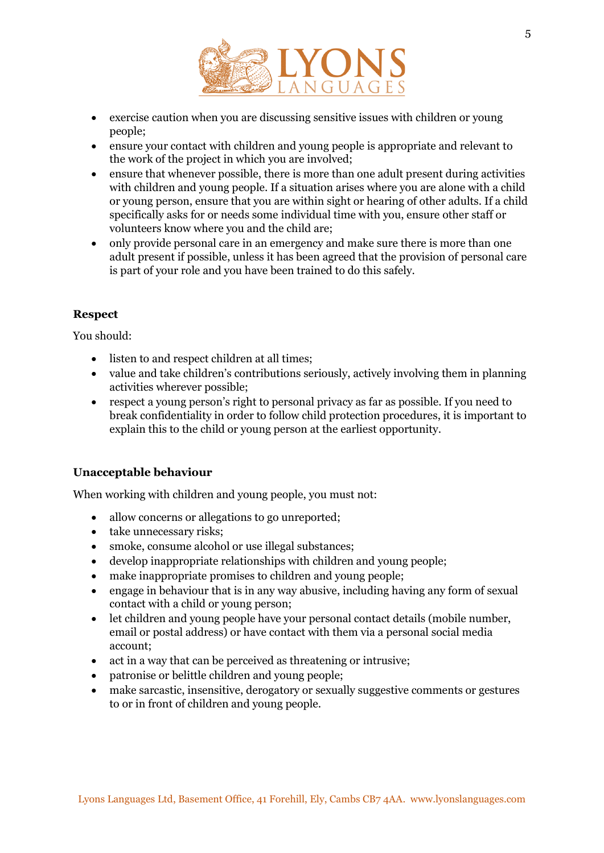

- exercise caution when you are discussing sensitive issues with children or young people;
- ensure your contact with children and young people is appropriate and relevant to the work of the project in which you are involved;
- ensure that whenever possible, there is more than one adult present during activities with children and young people. If a situation arises where you are alone with a child or young person, ensure that you are within sight or hearing of other adults. If a child specifically asks for or needs some individual time with you, ensure other staff or volunteers know where you and the child are;
- only provide personal care in an emergency and make sure there is more than one adult present if possible, unless it has been agreed that the provision of personal care is part of your role and you have been trained to do this safely.

# **Respect**

You should:

- listen to and respect children at all times;
- value and take children's contributions seriously, actively involving them in planning activities wherever possible;
- respect a young person's right to personal privacy as far as possible. If you need to break confidentiality in order to follow child protection procedures, it is important to explain this to the child or young person at the earliest opportunity.

# **Unacceptable behaviour**

When working with children and young people, you must not:

- allow concerns or allegations to go unreported;
- take unnecessary risks;
- smoke, consume alcohol or use illegal substances;
- develop inappropriate relationships with children and young people;
- make inappropriate promises to children and young people;
- engage in behaviour that is in any way abusive, including having any form of sexual contact with a child or young person;
- let children and young people have your personal contact details (mobile number, email or postal address) or have contact with them via a personal social media account;
- act in a way that can be perceived as threatening or intrusive;
- patronise or belittle children and young people;
- make sarcastic, insensitive, derogatory or sexually suggestive comments or gestures to or in front of children and young people.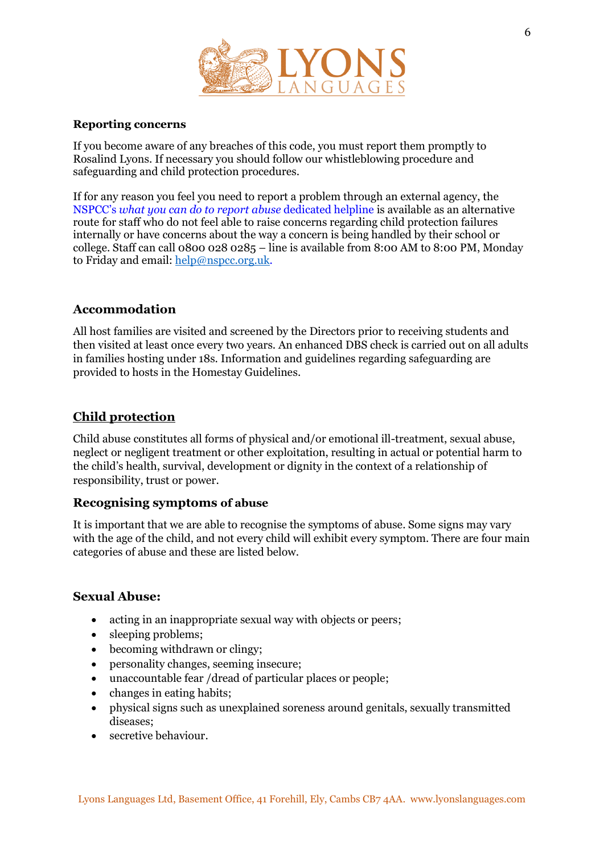

#### **Reporting concerns**

If you become aware of any breaches of this code, you must report them promptly to Rosalind Lyons. If necessary you should follow our whistleblowing procedure and safeguarding and child protection procedures.

If for any reason you feel you need to report a problem through an external agency, the NSPCC's *what you can do to report abuse* dedicated helpline is available as an alternative route for staff who do not feel able to raise concerns regarding child protection failures internally or have concerns about the way a concern is being handled by their school or college. Staff can call 0800 028 0285 – line is available from 8:00 AM to 8:00 PM, Monday to Friday and email[: help@nspcc.org.uk.](mailto:help@nspcc.org.uk)

# **Accommodation**

All host families are visited and screened by the Directors prior to receiving students and then visited at least once every two years. An enhanced DBS check is carried out on all adults in families hosting under 18s. Information and guidelines regarding safeguarding are provided to hosts in the Homestay Guidelines.

# **Child protection**

Child abuse constitutes all forms of physical and/or emotional ill-treatment, sexual abuse, neglect or negligent treatment or other exploitation, resulting in actual or potential harm to the child's health, survival, development or dignity in the context of a relationship of responsibility, trust or power.

#### **Recognising symptoms of abuse**

It is important that we are able to recognise the symptoms of abuse. Some signs may vary with the age of the child, and not every child will exhibit every symptom. There are four main categories of abuse and these are listed below.

#### **Sexual Abuse:**

- acting in an inappropriate sexual way with objects or peers;
- sleeping problems;
- becoming withdrawn or clingy;
- personality changes, seeming insecure;
- unaccountable fear /dread of particular places or people;
- changes in eating habits;
- physical signs such as unexplained soreness around genitals, sexually transmitted diseases;
- secretive behaviour.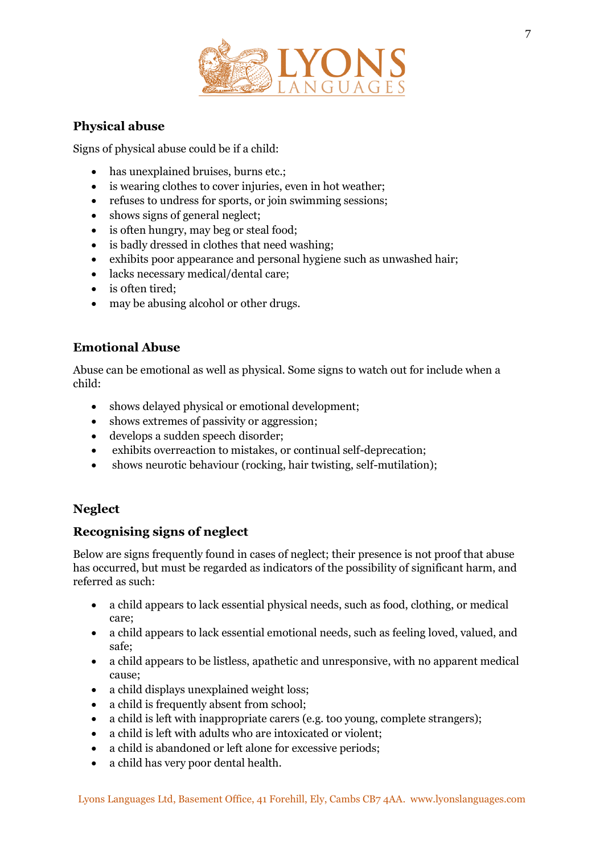

# **Physical abuse**

Signs of physical abuse could be if a child:

- has unexplained bruises, burns etc.;
- is wearing clothes to cover injuries, even in hot weather;
- refuses to undress for sports, or join swimming sessions;
- shows signs of general neglect;
- is often hungry, may beg or steal food;
- is badly dressed in clothes that need washing:
- exhibits poor appearance and personal hygiene such as unwashed hair;
- lacks necessary medical/dental care;
- is often tired;
- may be abusing alcohol or other drugs.

# **Emotional Abuse**

Abuse can be emotional as well as physical. Some signs to watch out for include when a child:

- shows delayed physical or emotional development;
- shows extremes of passivity or aggression;
- develops a sudden speech disorder;
- exhibits overreaction to mistakes, or continual self-deprecation;
- shows neurotic behaviour (rocking, hair twisting, self-mutilation);

# **Neglect**

# **Recognising signs of neglect**

Below are signs frequently found in cases of neglect; their presence is not proof that abuse has occurred, but must be regarded as indicators of the possibility of significant harm, and referred as such:

- a child appears to lack essential physical needs, such as food, clothing, or medical care;
- a child appears to lack essential emotional needs, such as feeling loved, valued, and safe;
- a child appears to be listless, apathetic and unresponsive, with no apparent medical cause;
- a child displays unexplained weight loss;
- a child is frequently absent from school:
- a child is left with inappropriate carers (e.g. too young, complete strangers);
- a child is left with adults who are intoxicated or violent;
- a child is abandoned or left alone for excessive periods;
- a child has very poor dental health.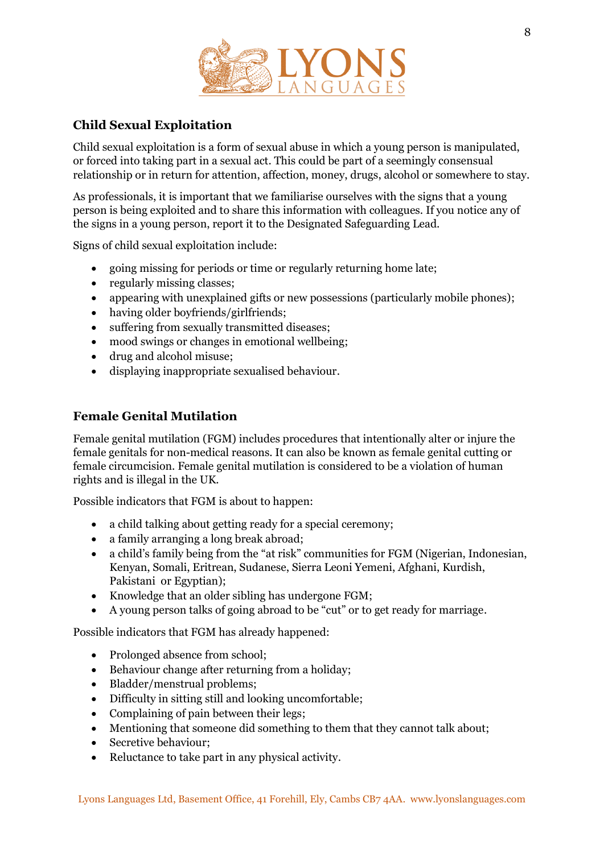

# **Child Sexual Exploitation**

Child sexual exploitation is a form of sexual abuse in which a young person is manipulated, or forced into taking part in a sexual act. This could be part of a seemingly consensual relationship or in return for attention, affection, money, drugs, alcohol or somewhere to stay.

As professionals, it is important that we familiarise ourselves with the signs that a young person is being exploited and to share this information with colleagues. If you notice any of the signs in a young person, report it to the Designated Safeguarding Lead.

Signs of child sexual exploitation include:

- going missing for periods or time or regularly returning home late;
- regularly missing classes;
- appearing with unexplained gifts or new possessions (particularly mobile phones);
- having older boyfriends/girlfriends;
- suffering from sexually transmitted diseases;
- mood swings or changes in emotional wellbeing;
- drug and alcohol misuse;
- displaying inappropriate sexualised behaviour.

# **Female Genital Mutilation**

Female genital mutilation (FGM) includes procedures that intentionally alter or injure the female genitals for non-medical reasons. It can also be known as female genital cutting or female circumcision. Female genital mutilation is considered to be a violation of human rights and is illegal in the UK.

Possible indicators that FGM is about to happen:

- a child talking about getting ready for a special ceremony;
- a family arranging a long break abroad;
- a child's family being from the "at risk" communities for FGM (Nigerian, Indonesian, Kenyan, Somali, Eritrean, Sudanese, Sierra Leoni Yemeni, Afghani, Kurdish, Pakistani or Egyptian);
- Knowledge that an older sibling has undergone FGM;
- A young person talks of going abroad to be "cut" or to get ready for marriage.

Possible indicators that FGM has already happened:

- Prolonged absence from school;
- Behaviour change after returning from a holiday;
- Bladder/menstrual problems;
- Difficulty in sitting still and looking uncomfortable;
- Complaining of pain between their legs;
- Mentioning that someone did something to them that they cannot talk about;
- Secretive behaviour;
- Reluctance to take part in any physical activity.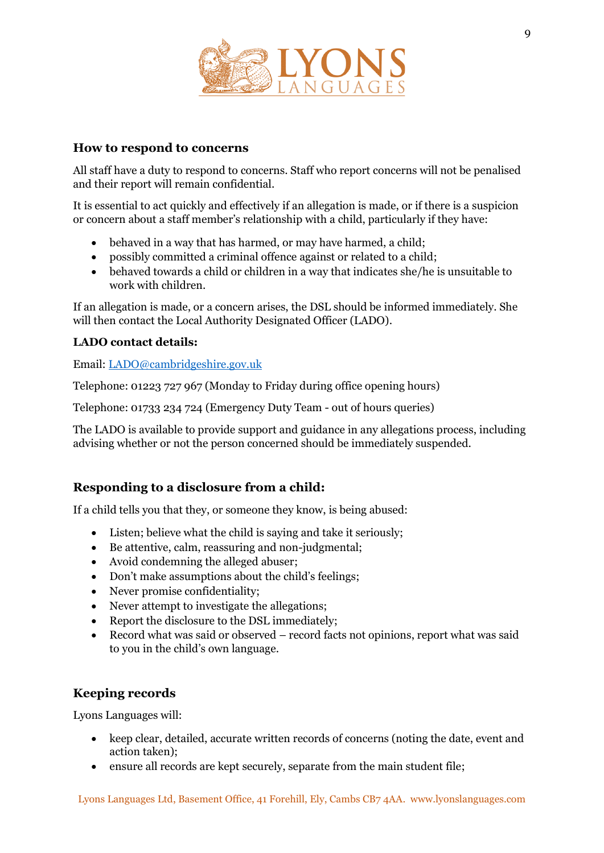

# **How to respond to concerns**

All staff have a duty to respond to concerns. Staff who report concerns will not be penalised and their report will remain confidential.

It is essential to act quickly and effectively if an allegation is made, or if there is a suspicion or concern about a staff member's relationship with a child, particularly if they have:

- behaved in a way that has harmed, or may have harmed, a child;
- possibly committed a criminal offence against or related to a child;
- behaved towards a child or children in a way that indicates she/he is unsuitable to work with children.

If an allegation is made, or a concern arises, the DSL should be informed immediately. She will then contact the Local Authority Designated Officer (LADO).

#### **LADO contact details:**

Email: [LADO@cambridgeshire.gov.uk](mailto:LADO@cambridgeshire.gov.uk)

Telephone: 01223 727 967 (Monday to Friday during office opening hours)

Telephone: 01733 234 724 (Emergency Duty Team - out of hours queries)

The LADO is available to provide support and guidance in any allegations process, including advising whether or not the person concerned should be immediately suspended.

# **Responding to a disclosure from a child:**

If a child tells you that they, or someone they know, is being abused:

- Listen; believe what the child is saying and take it seriously;
- Be attentive, calm, reassuring and non-judgmental;
- Avoid condemning the alleged abuser;
- Don't make assumptions about the child's feelings;
- Never promise confidentiality;
- Never attempt to investigate the allegations;
- Report the disclosure to the DSL immediately;
- Record what was said or observed record facts not opinions, report what was said to you in the child's own language.

# **Keeping records**

Lyons Languages will:

- keep clear, detailed, accurate written records of concerns (noting the date, event and action taken);
- ensure all records are kept securely, separate from the main student file;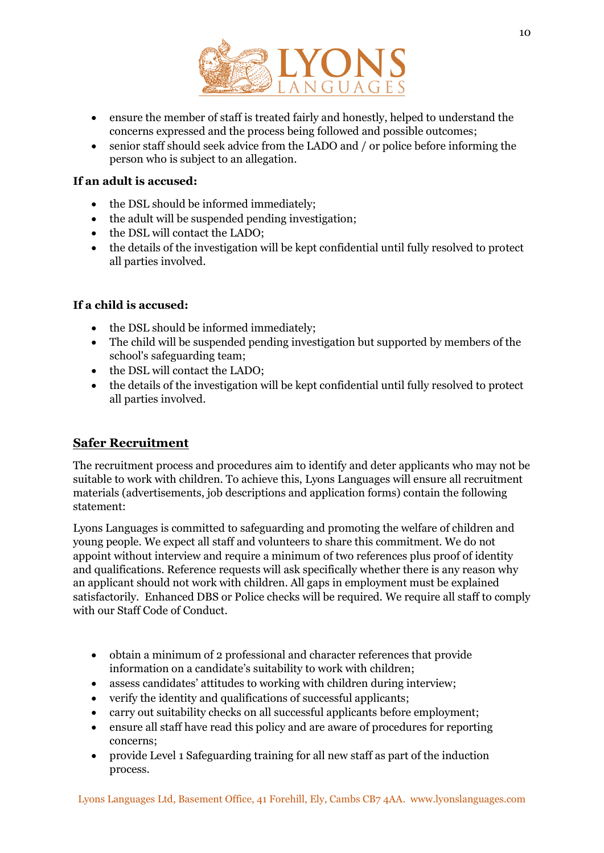

- ensure the member of staff is treated fairly and honestly, helped to understand the concerns expressed and the process being followed and possible outcomes;
- senior staff should seek advice from the LADO and / or police before informing the person who is subject to an allegation.

#### **If an adult is accused:**

- the DSL should be informed immediately;
- the adult will be suspended pending investigation;
- the DSL will contact the LADO;
- the details of the investigation will be kept confidential until fully resolved to protect all parties involved.

# **If a child is accused:**

- the DSL should be informed immediately;
- The child will be suspended pending investigation but supported by members of the school's safeguarding team;
- the DSL will contact the LADO;
- the details of the investigation will be kept confidential until fully resolved to protect all parties involved.

# **Safer Recruitment**

The recruitment process and procedures aim to identify and deter applicants who may not be suitable to work with children. To achieve this, Lyons Languages will ensure all recruitment materials (advertisements, job descriptions and application forms) contain the following statement:

Lyons Languages is committed to safeguarding and promoting the welfare of children and young people. We expect all staff and volunteers to share this commitment. We do not appoint without interview and require a minimum of two references plus proof of identity and qualifications. Reference requests will ask specifically whether there is any reason why an applicant should not work with children. All gaps in employment must be explained satisfactorily. Enhanced DBS or Police checks will be required. We require all staff to comply with our Staff Code of Conduct.

- obtain a minimum of 2 professional and character references that provide information on a candidate's suitability to work with children;
- assess candidates' attitudes to working with children during interview;
- verify the identity and qualifications of successful applicants;
- carry out suitability checks on all successful applicants before employment;
- ensure all staff have read this policy and are aware of procedures for reporting concerns;
- provide Level 1 Safeguarding training for all new staff as part of the induction process.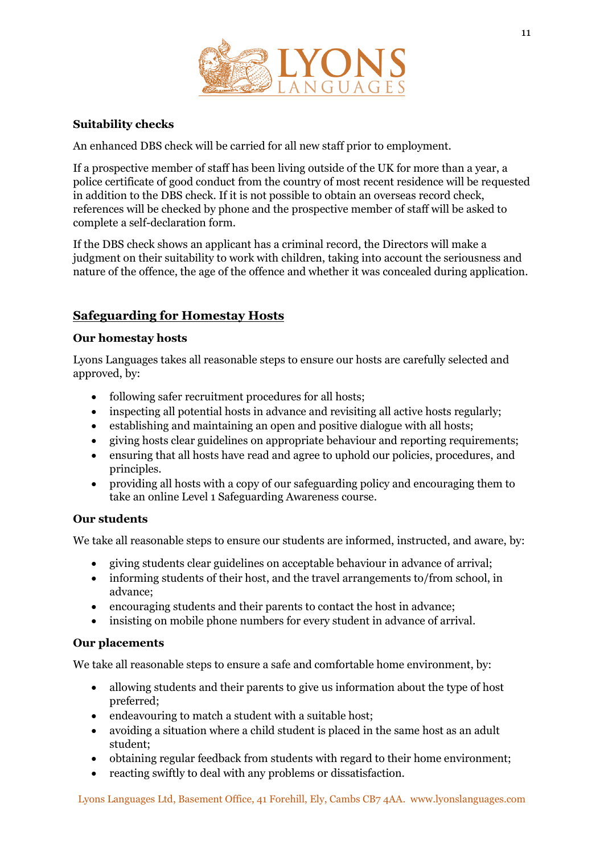

# **Suitability checks**

An enhanced DBS check will be carried for all new staff prior to employment.

If a prospective member of staff has been living outside of the UK for more than a year, a police certificate of good conduct from the country of most recent residence will be requested in addition to the DBS check. If it is not possible to obtain an overseas record check, references will be checked by phone and the prospective member of staff will be asked to complete a self-declaration form.

If the DBS check shows an applicant has a criminal record, the Directors will make a judgment on their suitability to work with children, taking into account the seriousness and nature of the offence, the age of the offence and whether it was concealed during application.

# **Safeguarding for Homestay Hosts**

#### **Our homestay hosts**

Lyons Languages takes all reasonable steps to ensure our hosts are carefully selected and approved, by:

- following safer recruitment procedures for all hosts;
- inspecting all potential hosts in advance and revisiting all active hosts regularly;
- establishing and maintaining an open and positive dialogue with all hosts;
- giving hosts clear guidelines on appropriate behaviour and reporting requirements;
- ensuring that all hosts have read and agree to uphold our policies, procedures, and principles.
- providing all hosts with a copy of our safeguarding policy and encouraging them to take an online Level 1 Safeguarding Awareness course.

#### **Our students**

We take all reasonable steps to ensure our students are informed, instructed, and aware, by:

- giving students clear guidelines on acceptable behaviour in advance of arrival;
- informing students of their host, and the travel arrangements to/from school, in advance;
- encouraging students and their parents to contact the host in advance;
- insisting on mobile phone numbers for every student in advance of arrival.

#### **Our placements**

We take all reasonable steps to ensure a safe and comfortable home environment, by:

- allowing students and their parents to give us information about the type of host preferred;
- endeavouring to match a student with a suitable host:
- avoiding a situation where a child student is placed in the same host as an adult student;
- obtaining regular feedback from students with regard to their home environment;
- reacting swiftly to deal with any problems or dissatisfaction.